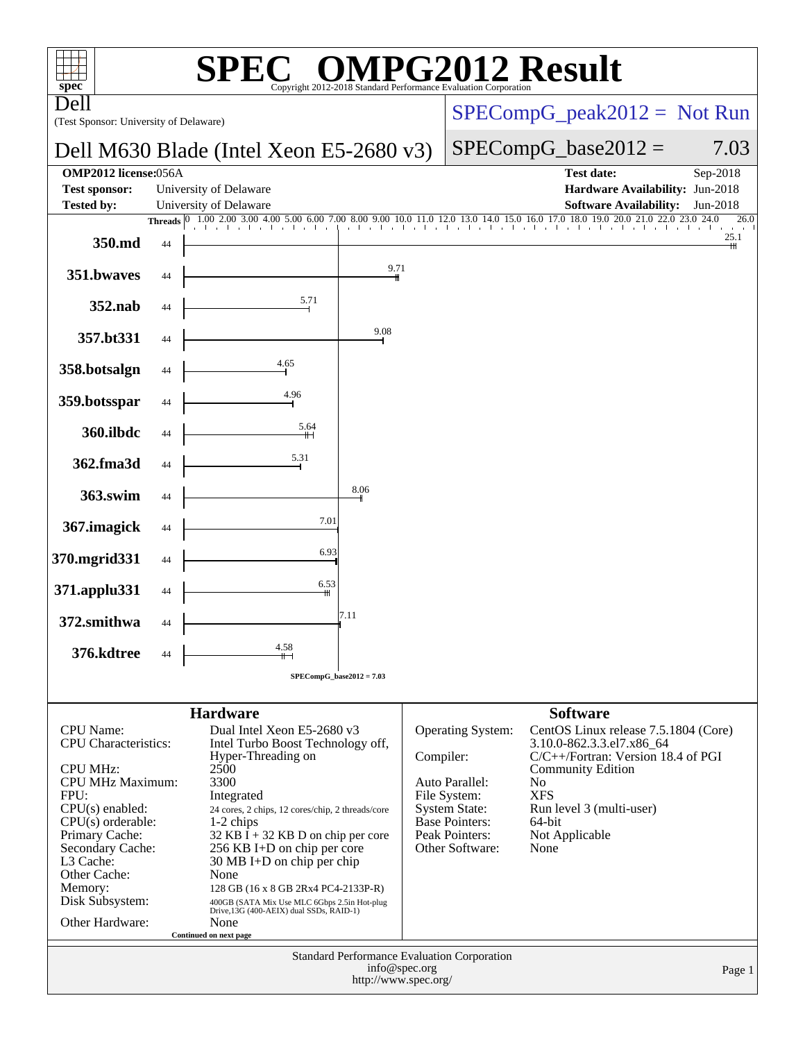| spec <sup>®</sup>                                                                      |    | $\blacksquare$<br>SPEC                                                                                                             |                                       |                       | Copyright 2012-2018 Standard Performance Evaluation Corporation     | <b>MPG2012 Result</b>                                                                                                         |                  |
|----------------------------------------------------------------------------------------|----|------------------------------------------------------------------------------------------------------------------------------------|---------------------------------------|-----------------------|---------------------------------------------------------------------|-------------------------------------------------------------------------------------------------------------------------------|------------------|
| Dell<br>(Test Sponsor: University of Delaware)                                         |    |                                                                                                                                    | $SPECompG_peak2012 = Not Run$         |                       |                                                                     |                                                                                                                               |                  |
|                                                                                        |    | Dell M630 Blade (Intel Xeon E5-2680 v3)                                                                                            |                                       | $SPECompG_base2012 =$ | 7.03                                                                |                                                                                                                               |                  |
| <b>OMP2012</b> license:056A<br><b>Test sponsor:</b>                                    |    | University of Delaware                                                                                                             |                                       |                       |                                                                     | <b>Test date:</b><br>Hardware Availability: Jun-2018                                                                          | Sep-2018         |
| <b>Tested by:</b>                                                                      |    | University of Delaware                                                                                                             |                                       |                       |                                                                     | <b>Software Availability:</b>                                                                                                 | Jun-2018<br>26.0 |
|                                                                                        |    | Threads 0 1.00 2.00 3.00 4.00 5.00 6.00 7.00 8.00 9.00 10.0 11.0 12.0 13.0 14.0 15.0 16.0 17.0 18.0 19.0 20.0 21.0 22.0 23.0 24.0  |                                       |                       |                                                                     |                                                                                                                               | 25.1             |
| 350.md                                                                                 | 44 |                                                                                                                                    |                                       |                       |                                                                     |                                                                                                                               | Ш                |
| 351.bwaves                                                                             | 44 |                                                                                                                                    | 9.71                                  |                       |                                                                     |                                                                                                                               |                  |
| 352.nab                                                                                | 44 | 5.71                                                                                                                               |                                       |                       |                                                                     |                                                                                                                               |                  |
| 357.bt331                                                                              | 44 |                                                                                                                                    | 9.08                                  |                       |                                                                     |                                                                                                                               |                  |
| 358.botsalgn                                                                           | 44 | 4.65                                                                                                                               |                                       |                       |                                                                     |                                                                                                                               |                  |
| 359.botsspar                                                                           | 44 | 4.96                                                                                                                               |                                       |                       |                                                                     |                                                                                                                               |                  |
| 360.ilbdc                                                                              | 44 | 5.64                                                                                                                               |                                       |                       |                                                                     |                                                                                                                               |                  |
| 362.fma3d                                                                              | 44 | 5.31                                                                                                                               |                                       |                       |                                                                     |                                                                                                                               |                  |
| 363.swim                                                                               | 44 |                                                                                                                                    | 8.06                                  |                       |                                                                     |                                                                                                                               |                  |
| 367.imagick                                                                            | 44 | 7.01                                                                                                                               |                                       |                       |                                                                     |                                                                                                                               |                  |
| 370.mgrid331                                                                           | 44 | 6.93                                                                                                                               |                                       |                       |                                                                     |                                                                                                                               |                  |
| 371.applu331                                                                           | 44 | 6.53<br>╫                                                                                                                          |                                       |                       |                                                                     |                                                                                                                               |                  |
| 372.smithwa                                                                            | 44 |                                                                                                                                    | 7.11                                  |                       |                                                                     |                                                                                                                               |                  |
| 376.kdtree                                                                             | 44 | 4.58                                                                                                                               |                                       |                       |                                                                     |                                                                                                                               |                  |
|                                                                                        |    |                                                                                                                                    | $SPECompG_base2012 = 7.03$            |                       |                                                                     |                                                                                                                               |                  |
|                                                                                        |    |                                                                                                                                    |                                       |                       |                                                                     |                                                                                                                               |                  |
| <b>CPU</b> Name:<br><b>CPU</b> Characteristics:                                        |    | <b>Hardware</b><br>Dual Intel Xeon E5-2680 v3<br>Intel Turbo Boost Technology off,                                                 |                                       |                       | <b>Operating System:</b>                                            | <b>Software</b><br>CentOS Linux release 7.5.1804 (Core)<br>3.10.0-862.3.3.el7.x86_64                                          |                  |
| <b>CPU MHz:</b><br>CPU MHz Maximum:<br>FPU:<br>$CPU(s)$ enabled:                       |    | Hyper-Threading on<br>2500<br>3300<br>Integrated<br>24 cores, 2 chips, 12 cores/chip, 2 threads/core                               |                                       |                       | Compiler:<br>Auto Parallel:<br>File System:<br><b>System State:</b> | $C/C++/Fortran$ : Version 18.4 of PGI<br><b>Community Edition</b><br>N <sub>0</sub><br><b>XFS</b><br>Run level 3 (multi-user) |                  |
| $CPU(s)$ orderable:<br>Primary Cache:<br>Secondary Cache:<br>L3 Cache:<br>Other Cache: |    | $1-2$ chips<br>$32$ KB I + 32 KB D on chip per core<br>256 KB I+D on chip per core<br>$30 \text{ MB I+D}$ on chip per chip<br>None |                                       |                       | <b>Base Pointers:</b><br>Peak Pointers:<br>Other Software:          | $64$ -bit<br>Not Applicable<br>None                                                                                           |                  |
| Memory:                                                                                |    | 128 GB (16 x 8 GB 2Rx4 PC4-2133P-R)                                                                                                |                                       |                       |                                                                     |                                                                                                                               |                  |
| Disk Subsystem:<br>Other Hardware:                                                     |    | 400GB (SATA Mix Use MLC 6Gbps 2.5in Hot-plug<br>Drive,13G (400-AEIX) dual SSDs, RAID-1)<br>None                                    |                                       |                       |                                                                     |                                                                                                                               |                  |
|                                                                                        |    | Continued on next page                                                                                                             |                                       |                       |                                                                     |                                                                                                                               |                  |
|                                                                                        |    |                                                                                                                                    | info@spec.org<br>http://www.spec.org/ |                       | Standard Performance Evaluation Corporation                         |                                                                                                                               | Page 1           |
|                                                                                        |    |                                                                                                                                    |                                       |                       |                                                                     |                                                                                                                               |                  |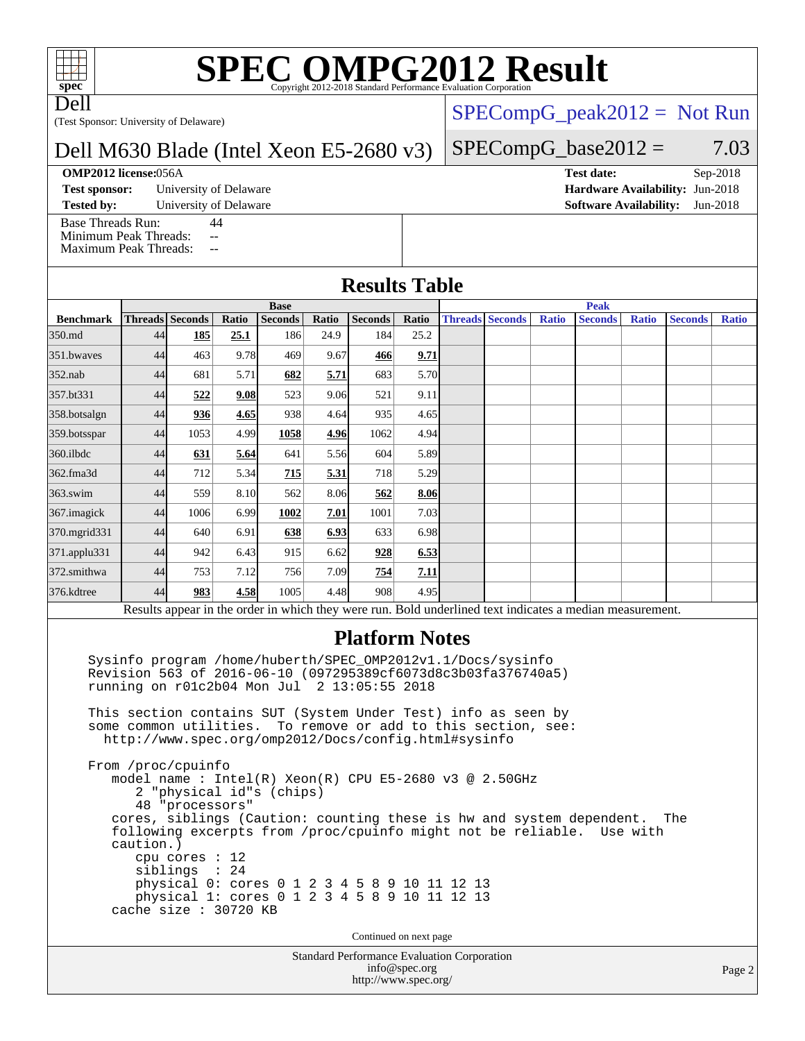# **[SPEC OMPG2012 Result](http://www.spec.org/auto/omp2012/Docs/result-fields.html#SPECOMPG2012Result)**

Dell

(Test Sponsor: University of Delaware)

#### Dell M630 Blade (Intel Xeon E5-2680 v3)

#### **[OMP2012 license:](http://www.spec.org/auto/omp2012/Docs/result-fields.html#OMP2012license)**056A **[Test date:](http://www.spec.org/auto/omp2012/Docs/result-fields.html#Testdate)** Sep-2018

**[Test sponsor:](http://www.spec.org/auto/omp2012/Docs/result-fields.html#Testsponsor)** University of Delaware **[Hardware Availability:](http://www.spec.org/auto/omp2012/Docs/result-fields.html#HardwareAvailability)** Jun-2018

[Base Threads Run:](http://www.spec.org/auto/omp2012/Docs/result-fields.html#BaseThreadsRun) 44

[Minimum Peak Threads:](http://www.spec.org/auto/omp2012/Docs/result-fields.html#MinimumPeakThreads) --

[Maximum Peak Threads:](http://www.spec.org/auto/omp2012/Docs/result-fields.html#MaximumPeakThreads) --

#### $SPECompG_peak2012 = Not Run$  $SPECompG_peak2012 = Not Run$

#### $SPECompG_base2012 = 7.03$  $SPECompG_base2012 = 7.03$

**[Tested by:](http://www.spec.org/auto/omp2012/Docs/result-fields.html#Testedby)** University of Delaware **[Software Availability:](http://www.spec.org/auto/omp2012/Docs/result-fields.html#SoftwareAvailability)** Jun-2018

**[Results Table](http://www.spec.org/auto/omp2012/Docs/result-fields.html#ResultsTable)**

|                                                                                                          | <b>Base</b> |                        |       |                |       |                |       |  | <b>Peak</b>            |              |                |              |                |       |
|----------------------------------------------------------------------------------------------------------|-------------|------------------------|-------|----------------|-------|----------------|-------|--|------------------------|--------------|----------------|--------------|----------------|-------|
| <b>Benchmark</b>                                                                                         |             | <b>Threads</b> Seconds | Ratio | <b>Seconds</b> | Ratio | <b>Seconds</b> | Ratio |  | <b>Threads Seconds</b> | <b>Ratio</b> | <b>Seconds</b> | <b>Ratio</b> | <b>Seconds</b> | Ratio |
| 350.md                                                                                                   | 44          | <u>185</u>             | 25.1  | 186            | 24.9  | 184            | 25.2  |  |                        |              |                |              |                |       |
| 351.bwaves                                                                                               | 44          | 463                    | 9.78  | 469            | 9.67  | 466            | 9.71  |  |                        |              |                |              |                |       |
| $352$ .nab                                                                                               | 44          | 681                    | 5.71  | 682            | 5.71  | 683            | 5.70  |  |                        |              |                |              |                |       |
| 357.bt331                                                                                                | 44          | 522                    | 9.08  | 523            | 9.06  | 521            | 9.11  |  |                        |              |                |              |                |       |
| 358.botsalgn                                                                                             | 44          | 936                    | 4.65  | 938            | 4.64  | 935            | 4.65  |  |                        |              |                |              |                |       |
| 359.botsspar                                                                                             | 44          | 1053                   | 4.99  | 1058           | 4.96  | 1062           | 4.94  |  |                        |              |                |              |                |       |
| $360$ .ilbdc                                                                                             | 44          | 631                    | 5.64  | 641            | 5.56  | 604            | 5.89  |  |                        |              |                |              |                |       |
| 362.fma3d                                                                                                | 44          | 712                    | 5.34  | 715            | 5.31  | 718            | 5.29  |  |                        |              |                |              |                |       |
| 363.swim                                                                                                 | 44          | 559                    | 8.10  | 562            | 8.06  | 562            | 8.06  |  |                        |              |                |              |                |       |
| 367. imagick                                                                                             | 44          | 1006                   | 6.99  | 1002           | 7.01  | 1001           | 7.03  |  |                        |              |                |              |                |       |
| 370.mgrid331                                                                                             | 44          | 640                    | 6.91  | 638            | 6.93  | 633            | 6.98  |  |                        |              |                |              |                |       |
| 371.applu331                                                                                             | 44          | 942                    | 6.43  | 915            | 6.62  | 928            | 6.53  |  |                        |              |                |              |                |       |
| 372.smithwa                                                                                              | 44          | 753                    | 7.12  | 756            | 7.09  | 754            | 7.11  |  |                        |              |                |              |                |       |
| 376.kdtree                                                                                               | 44          | 983                    | 4.58  | 1005           | 4.48  | 908            | 4.95  |  |                        |              |                |              |                |       |
| Results appear in the order in which they were run. Bold underlined text indicates a median measurement. |             |                        |       |                |       |                |       |  |                        |              |                |              |                |       |
| <b>Platform Notes</b><br>Sysinfo program /home/huberth/SPEC_OMP2012v1.1/Docs/sysinfo                     |             |                        |       |                |       |                |       |  |                        |              |                |              |                |       |

 Revision 563 of 2016-06-10 (097295389cf6073d8c3b03fa376740a5) running on r01c2b04 Mon Jul 2 13:05:55 2018

 This section contains SUT (System Under Test) info as seen by some common utilities. To remove or add to this section, see: <http://www.spec.org/omp2012/Docs/config.html#sysinfo>

 From /proc/cpuinfo model name : Intel(R) Xeon(R) CPU E5-2680 v3 @ 2.50GHz 2 "physical id"s (chips) 48 "processors" cores, siblings (Caution: counting these is hw and system dependent. The following excerpts from /proc/cpuinfo might not be reliable. Use with caution.) cpu cores : 12 siblings : 24 physical 0: cores 0 1 2 3 4 5 8 9 10 11 12 13 physical 1: cores 0 1 2 3 4 5 8 9 10 11 12 13 cache size : 30720 KB

Continued on next page

Standard Performance Evaluation Corporation [info@spec.org](mailto:info@spec.org) <http://www.spec.org/>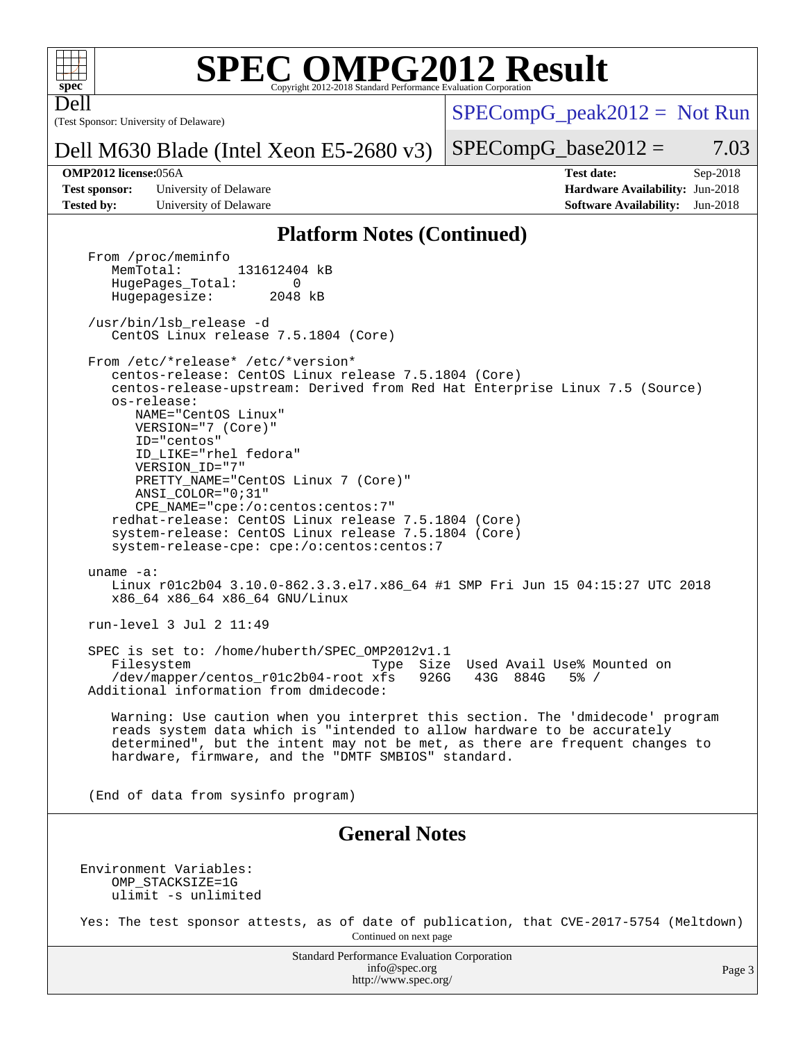

Dell

### **[SPEC OMPG2012 Result](http://www.spec.org/auto/omp2012/Docs/result-fields.html#SPECOMPG2012Result)**

(Test Sponsor: University of Delaware)

 $SPECompG_peak2012 = Not Run$  $SPECompG_peak2012 = Not Run$ 

#### Dell M630 Blade (Intel Xeon E5-2680 v3)

 $SPECompG_base2012 = 7.03$  $SPECompG_base2012 = 7.03$ 

**[Test sponsor:](http://www.spec.org/auto/omp2012/Docs/result-fields.html#Testsponsor)** University of Delaware **[Hardware Availability:](http://www.spec.org/auto/omp2012/Docs/result-fields.html#HardwareAvailability)** Jun-2018 **[Tested by:](http://www.spec.org/auto/omp2012/Docs/result-fields.html#Testedby)** University of Delaware **[Software Availability:](http://www.spec.org/auto/omp2012/Docs/result-fields.html#SoftwareAvailability)** Jun-2018

**[OMP2012 license:](http://www.spec.org/auto/omp2012/Docs/result-fields.html#OMP2012license)**056A **[Test date:](http://www.spec.org/auto/omp2012/Docs/result-fields.html#Testdate)** Sep-2018

#### **[Platform Notes \(Continued\)](http://www.spec.org/auto/omp2012/Docs/result-fields.html#PlatformNotes)**

Standard Performance Evaluation Corporation From /proc/meminfo<br>MemTotal: 131612404 kB HugePages\_Total: 0<br>Hugepagesize: 2048 kB Hugepagesize: /usr/bin/lsb\_release -d CentOS Linux release 7.5.1804 (Core) From /etc/\*release\* /etc/\*version\* centos-release: CentOS Linux release 7.5.1804 (Core) centos-release-upstream: Derived from Red Hat Enterprise Linux 7.5 (Source) os-release: NAME="CentOS Linux" VERSION="7 (Core)" ID="centos" ID\_LIKE="rhel fedora" VERSION\_ID="7" PRETTY\_NAME="CentOS Linux 7 (Core)" ANSI\_COLOR="0;31" CPE\_NAME="cpe:/o:centos:centos:7" redhat-release: CentOS Linux release 7.5.1804 (Core) system-release: CentOS Linux release 7.5.1804 (Core) system-release-cpe: cpe:/o:centos:centos:7 uname -a: Linux r01c2b04 3.10.0-862.3.3.el7.x86\_64 #1 SMP Fri Jun 15 04:15:27 UTC 2018 x86\_64 x86\_64 x86\_64 GNU/Linux run-level 3 Jul 2 11:49 SPEC is set to: /home/huberth/SPEC\_OMP2012v1.1 Filesystem Type Size Used Avail Use% Mounted on<br>
/dev/mapper/centos\_r01c2b04-root xfs 926G 43G 884G 5% / /dev/mapper/centos\_r01c2b04-root xfs 926G 43G 884G 5% / Additional information from dmidecode: Warning: Use caution when you interpret this section. The 'dmidecode' program reads system data which is "intended to allow hardware to be accurately determined", but the intent may not be met, as there are frequent changes to hardware, firmware, and the "DMTF SMBIOS" standard. (End of data from sysinfo program) **[General Notes](http://www.spec.org/auto/omp2012/Docs/result-fields.html#GeneralNotes)** Environment Variables: OMP\_STACKSIZE=1G ulimit -s unlimited Yes: The test sponsor attests, as of date of publication, that CVE-2017-5754 (Meltdown) Continued on next page

[info@spec.org](mailto:info@spec.org) <http://www.spec.org/>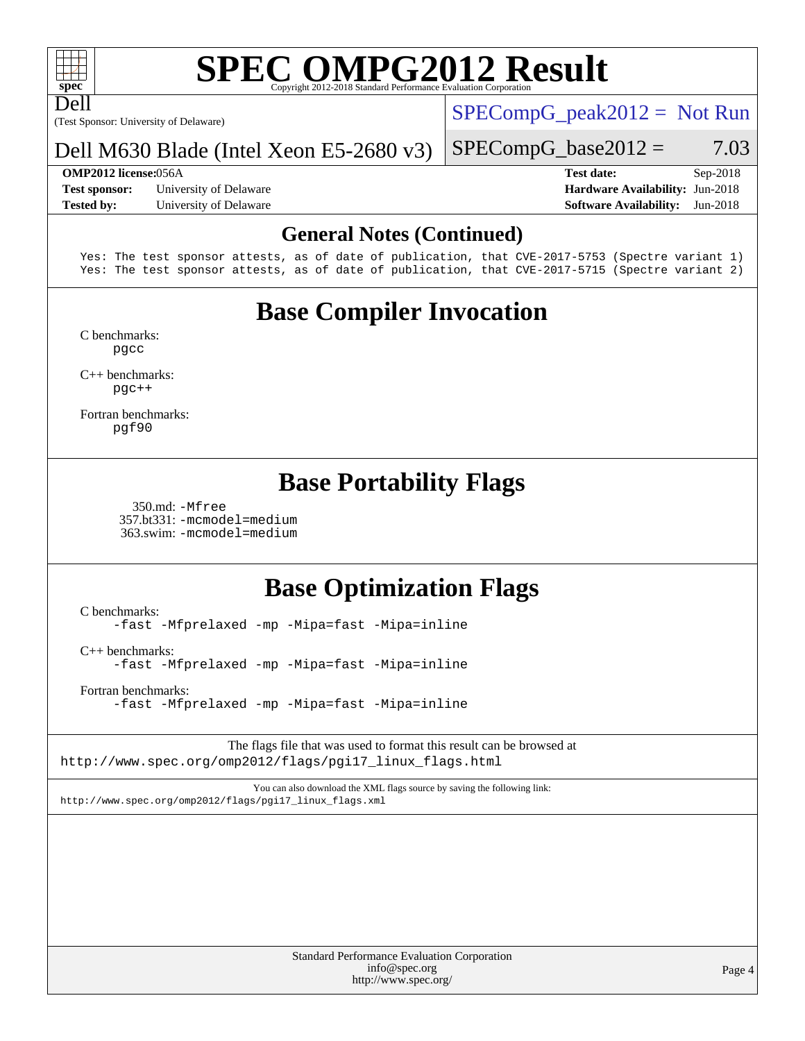Dell

# **[SPEC OMPG2012 Result](http://www.spec.org/auto/omp2012/Docs/result-fields.html#SPECOMPG2012Result)**

(Test Sponsor: University of Delaware)

 $SPECompG_peak2012 = Not Run$  $SPECompG_peak2012 = Not Run$ 

#### Dell M630 Blade (Intel Xeon E5-2680 v3)

#### **[OMP2012 license:](http://www.spec.org/auto/omp2012/Docs/result-fields.html#OMP2012license)**056A **[Test date:](http://www.spec.org/auto/omp2012/Docs/result-fields.html#Testdate)** Sep-2018

**[Test sponsor:](http://www.spec.org/auto/omp2012/Docs/result-fields.html#Testsponsor)** University of Delaware **[Hardware Availability:](http://www.spec.org/auto/omp2012/Docs/result-fields.html#HardwareAvailability)** Jun-2018 **[Tested by:](http://www.spec.org/auto/omp2012/Docs/result-fields.html#Testedby)** University of Delaware **[Software Availability:](http://www.spec.org/auto/omp2012/Docs/result-fields.html#SoftwareAvailability)** Jun-2018

 $SPECompG_base2012 = 7.03$  $SPECompG_base2012 = 7.03$ 

#### **[General Notes \(Continued\)](http://www.spec.org/auto/omp2012/Docs/result-fields.html#GeneralNotes)**

Yes: The test sponsor attests, as of date of publication, that CVE-2017-5753 (Spectre variant 1) Yes: The test sponsor attests, as of date of publication, that CVE-2017-5715 (Spectre variant 2)

### **[Base Compiler Invocation](http://www.spec.org/auto/omp2012/Docs/result-fields.html#BaseCompilerInvocation)**

[C benchmarks](http://www.spec.org/auto/omp2012/Docs/result-fields.html#Cbenchmarks): [pgcc](http://www.spec.org/omp2012/results/res2018q4/omp2012-20181125-00155.flags.html#user_CCbase_pgcc_l)

[C++ benchmarks:](http://www.spec.org/auto/omp2012/Docs/result-fields.html#CXXbenchmarks) [pgc++](http://www.spec.org/omp2012/results/res2018q4/omp2012-20181125-00155.flags.html#user_CXXbase_pgcpp_l_e5fc4a0ead554906661557a60ef932e8)

[Fortran benchmarks](http://www.spec.org/auto/omp2012/Docs/result-fields.html#Fortranbenchmarks): [pgf90](http://www.spec.org/omp2012/results/res2018q4/omp2012-20181125-00155.flags.html#user_FCbase_pgf90_l)

### **[Base Portability Flags](http://www.spec.org/auto/omp2012/Docs/result-fields.html#BasePortabilityFlags)**

 350.md: [-Mfree](http://www.spec.org/omp2012/results/res2018q4/omp2012-20181125-00155.flags.html#user_baseFPORTABILITY350_md_Mfree) 357.bt331: [-mcmodel=medium](http://www.spec.org/omp2012/results/res2018q4/omp2012-20181125-00155.flags.html#user_basePORTABILITY357_bt331_mcmodel_medium) 363.swim: [-mcmodel=medium](http://www.spec.org/omp2012/results/res2018q4/omp2012-20181125-00155.flags.html#user_basePORTABILITY363_swim_mcmodel_medium)

### **[Base Optimization Flags](http://www.spec.org/auto/omp2012/Docs/result-fields.html#BaseOptimizationFlags)**

[C benchmarks](http://www.spec.org/auto/omp2012/Docs/result-fields.html#Cbenchmarks): [-fast](http://www.spec.org/omp2012/results/res2018q4/omp2012-20181125-00155.flags.html#user_CCbase_fast) [-Mfprelaxed](http://www.spec.org/omp2012/results/res2018q4/omp2012-20181125-00155.flags.html#user_CCbase_Mfprelaxed) [-mp](http://www.spec.org/omp2012/results/res2018q4/omp2012-20181125-00155.flags.html#user_CCbase_mp) [-Mipa=fast](http://www.spec.org/omp2012/results/res2018q4/omp2012-20181125-00155.flags.html#user_CCbase_Mipa_fast) [-Mipa=inline](http://www.spec.org/omp2012/results/res2018q4/omp2012-20181125-00155.flags.html#user_CCbase_Mipa_inline)

[C++ benchmarks:](http://www.spec.org/auto/omp2012/Docs/result-fields.html#CXXbenchmarks) [-fast](http://www.spec.org/omp2012/results/res2018q4/omp2012-20181125-00155.flags.html#user_CXXbase_fast) [-Mfprelaxed](http://www.spec.org/omp2012/results/res2018q4/omp2012-20181125-00155.flags.html#user_CXXbase_Mfprelaxed) [-mp](http://www.spec.org/omp2012/results/res2018q4/omp2012-20181125-00155.flags.html#user_CXXbase_mp) [-Mipa=fast](http://www.spec.org/omp2012/results/res2018q4/omp2012-20181125-00155.flags.html#user_CXXbase_Mipa_fast) [-Mipa=inline](http://www.spec.org/omp2012/results/res2018q4/omp2012-20181125-00155.flags.html#user_CXXbase_Mipa_inline)

[Fortran benchmarks](http://www.spec.org/auto/omp2012/Docs/result-fields.html#Fortranbenchmarks): [-fast](http://www.spec.org/omp2012/results/res2018q4/omp2012-20181125-00155.flags.html#user_FCbase_fast) [-Mfprelaxed](http://www.spec.org/omp2012/results/res2018q4/omp2012-20181125-00155.flags.html#user_FCbase_Mfprelaxed) [-mp](http://www.spec.org/omp2012/results/res2018q4/omp2012-20181125-00155.flags.html#user_FCbase_mp) [-Mipa=fast](http://www.spec.org/omp2012/results/res2018q4/omp2012-20181125-00155.flags.html#user_FCbase_Mipa_fast) [-Mipa=inline](http://www.spec.org/omp2012/results/res2018q4/omp2012-20181125-00155.flags.html#user_FCbase_Mipa_inline)

The flags file that was used to format this result can be browsed at [http://www.spec.org/omp2012/flags/pgi17\\_linux\\_flags.html](http://www.spec.org/omp2012/flags/pgi17_linux_flags.html)

You can also download the XML flags source by saving the following link: [http://www.spec.org/omp2012/flags/pgi17\\_linux\\_flags.xml](http://www.spec.org/omp2012/flags/pgi17_linux_flags.xml)

> Standard Performance Evaluation Corporation [info@spec.org](mailto:info@spec.org) <http://www.spec.org/>